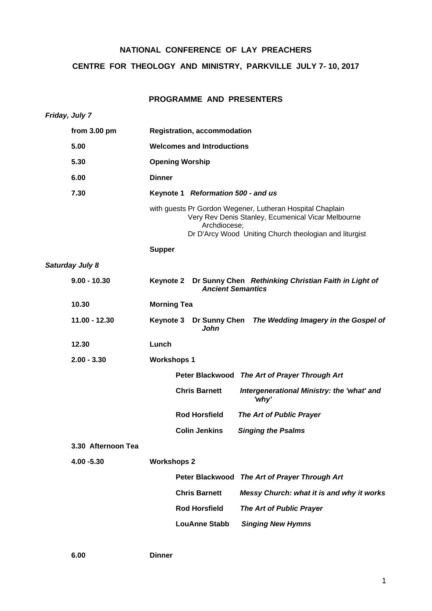# **NATIONAL CONFERENCE OF LAY PREACHERS**

# **CENTRE FOR THEOLOGY AND MINISTRY, PARKVILLE JULY 7- 10, 2017**

# **PROGRAMME AND PRESENTERS**

| Friday, July 7         |                                                                                                                                                                                           |  |  |  |
|------------------------|-------------------------------------------------------------------------------------------------------------------------------------------------------------------------------------------|--|--|--|
| from 3.00 pm           | <b>Registration, accommodation</b>                                                                                                                                                        |  |  |  |
| 5.00                   | <b>Welcomes and Introductions</b>                                                                                                                                                         |  |  |  |
| 5.30                   | <b>Opening Worship</b>                                                                                                                                                                    |  |  |  |
| 6.00                   | <b>Dinner</b>                                                                                                                                                                             |  |  |  |
| 7.30                   | Keynote 1 Reformation 500 - and us                                                                                                                                                        |  |  |  |
|                        | with guests Pr Gordon Wegener, Lutheran Hospital Chaplain<br>Very Rev Denis Stanley, Ecumenical Vicar Melbourne<br>Archdiocese;<br>Dr D'Arcy Wood Uniting Church theologian and liturgist |  |  |  |
|                        | <b>Supper</b>                                                                                                                                                                             |  |  |  |
| <b>Saturday July 8</b> |                                                                                                                                                                                           |  |  |  |
| $9.00 - 10.30$         | Dr Sunny Chen Rethinking Christian Faith in Light of<br>Keynote 2<br><b>Ancient Semantics</b><br><b>Morning Tea</b>                                                                       |  |  |  |
| 10.30                  |                                                                                                                                                                                           |  |  |  |
| $11.00 - 12.30$        | Keynote 3 Dr Sunny Chen The Wedding Imagery in the Gospel of<br>John                                                                                                                      |  |  |  |
| 12.30                  | Lunch                                                                                                                                                                                     |  |  |  |
| $2.00 - 3.30$          | <b>Workshops 1</b>                                                                                                                                                                        |  |  |  |
|                        | Peter Blackwood The Art of Prayer Through Art                                                                                                                                             |  |  |  |
|                        | <b>Chris Barnett</b><br>Intergenerational Ministry: the 'what' and<br>'why'                                                                                                               |  |  |  |
|                        | <b>Rod Horsfield</b><br><b>The Art of Public Prayer</b>                                                                                                                                   |  |  |  |
|                        | <b>Colin Jenkins</b><br><b>Singing the Psalms</b>                                                                                                                                         |  |  |  |
| 3.30 Afternoon Tea     |                                                                                                                                                                                           |  |  |  |
| 4.00 - 5.30            | <b>Workshops 2</b>                                                                                                                                                                        |  |  |  |
|                        | <b>Peter Blackwood</b><br>The Art of Prayer Through Art                                                                                                                                   |  |  |  |
|                        | <b>Chris Barnett</b><br>Messy Church: what it is and why it works                                                                                                                         |  |  |  |
|                        | <b>Rod Horsfield</b><br>The Art of Public Prayer                                                                                                                                          |  |  |  |
|                        | <b>LouAnne Stabb</b><br><b>Singing New Hymns</b>                                                                                                                                          |  |  |  |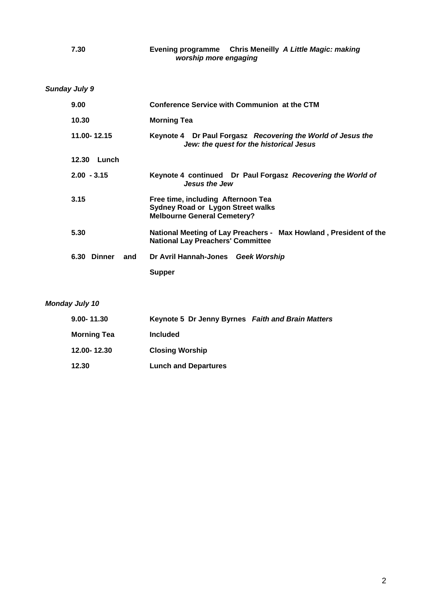*Sunday July 9* 

| 9.00               | Conference Service with Communion at the CTM                                                                         |
|--------------------|----------------------------------------------------------------------------------------------------------------------|
| 10.30              | <b>Morning Tea</b>                                                                                                   |
| 11.00-12.15        | Keynote 4 Dr Paul Forgasz Recovering the World of Jesus the<br>Jew: the quest for the historical Jesus               |
| 12.30<br>Lunch     |                                                                                                                      |
| $2.00 - 3.15$      | Keynote 4 continued Dr Paul Forgasz Recovering the World of<br><b>Jesus the Jew</b>                                  |
| 3.15               | Free time, including Afternoon Tea<br><b>Sydney Road or Lygon Street walks</b><br><b>Melbourne General Cemetery?</b> |
| 5.30               | National Meeting of Lay Preachers - Max Howland, President of the<br><b>National Lay Preachers' Committee</b>        |
| 6.30 Dinner<br>and | Dr Avril Hannah-Jones<br><b>Geek Worship</b>                                                                         |
|                    | <b>Supper</b>                                                                                                        |

# *Monday July 10*

| $9.00 - 11.30$     | Keynote 5 Dr Jenny Byrnes Faith and Brain Matters |  |
|--------------------|---------------------------------------------------|--|
| <b>Morning Tea</b> | <b>Included</b>                                   |  |
| 12.00-12.30        | <b>Closing Worship</b>                            |  |
| 12.30              | <b>Lunch and Departures</b>                       |  |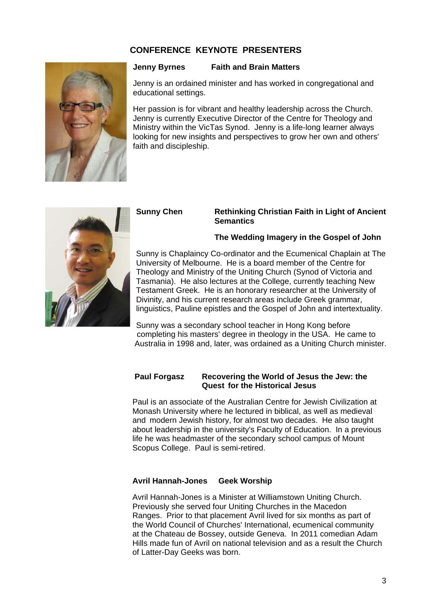# **CONFERENCE KEYNOTE PRESENTERS**



#### **Jenny Byrnes Faith and Brain Matters**

Jenny is an ordained minister and has worked in congregational and educational settings.

Her passion is for vibrant and healthy leadership across the Church. Jenny is currently Executive Director of the Centre for Theology and Ministry within the VicTas Synod. Jenny is a life-long learner always looking for new insights and perspectives to grow her own and others' faith and discipleship.

#### **Sunny Chen Rethinking Christian Faith in Light of Ancient Semantics**

#### **The Wedding Imagery in the Gospel of John**



Sunny was a secondary school teacher in Hong Kong before completing his masters' degree in theology in the USA. He came to Australia in 1998 and, later, was ordained as a Uniting Church minister.

## **Paul Forgasz Recovering the World of Jesus the Jew: the Quest for the Historical Jesus**

Paul is an associate of the Australian Centre for Jewish Civilization at Monash University where he lectured in biblical, as well as medieval and modern Jewish history, for almost two decades. He also taught about leadership in the university's Faculty of Education. In a previous life he was headmaster of the secondary school campus of Mount Scopus College. Paul is semi-retired.

#### **Avril Hannah-Jones Geek Worship**

Avril Hannah-Jones is a Minister at Williamstown Uniting Church. Previously she served four Uniting Churches in the Macedon Ranges. Prior to that placement Avril lived for six months as part of the World Council of Churches' International, ecumenical community at the Chateau de Bossey, outside Geneva. In 2011 comedian Adam Hills made fun of Avril on national television and as a result the Church of Latter-Day Geeks was born.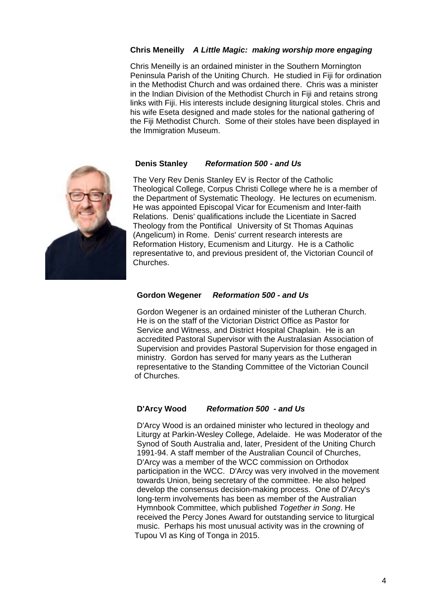## **Chris Meneilly** *A Little Magic: making worship more engaging*

Chris Meneilly is an ordained minister in the Southern Mornington Peninsula Parish of the Uniting Church. He studied in Fiji for ordination in the Methodist Church and was ordained there. Chris was a minister in the Indian Division of the Methodist Church in Fiji and retains strong links with Fiji. His interests include designing liturgical stoles. Chris and his wife Eseta designed and made stoles for the national gathering of the Fiji Methodist Church. Some of their stoles have been displayed in the Immigration Museum.

#### **Denis Stanley** *Reformation 500 - and Us*



The Very Rev Denis Stanley EV is Rector of the Catholic Theological College, Corpus Christi College where he is a member of the Department of Systematic Theology. He lectures on ecumenism. He was appointed Episcopal Vicar for Ecumenism and Inter-faith Relations. Denis' qualifications include the Licentiate in Sacred Theology from the Pontifical University of St Thomas Aquinas (Angelicum) in Rome. Denis' current research interests are Reformation History, Ecumenism and Liturgy. He is a Catholic representative to, and previous president of, the Victorian Council of Churches.

## **Gordon Wegener** *Reformation 500 - and Us*

Gordon Wegener is an ordained minister of the Lutheran Church. He is on the staff of the Victorian District Office as Pastor for Service and Witness, and District Hospital Chaplain. He is an accredited Pastoral Supervisor with the Australasian Association of Supervision and provides Pastoral Supervision for those engaged in ministry. Gordon has served for many years as the Lutheran representative to the Standing Committee of the Victorian Council of Churches.

## **D'Arcy Wood** *Reformation 500 - and Us*

D'Arcy Wood is an ordained minister who lectured in theology and Liturgy at Parkin-Wesley College, Adelaide. He was Moderator of the Synod of South Australia and, later, President of the Uniting Church 1991-94. A staff member of the Australian Council of Churches, D'Arcy was a member of the WCC commission on Orthodox participation in the WCC. D'Arcy was very involved in the movement towards Union, being secretary of the committee. He also helped develop the consensus decision-making process. One of D'Arcy's long-term involvements has been as member of the Australian Hymnbook Committee, which published *Together in Song*. He received the Percy Jones Award for outstanding service to liturgical music. Perhaps his most unusual activity was in the crowning of Tupou Vl as King of Tonga in 2015.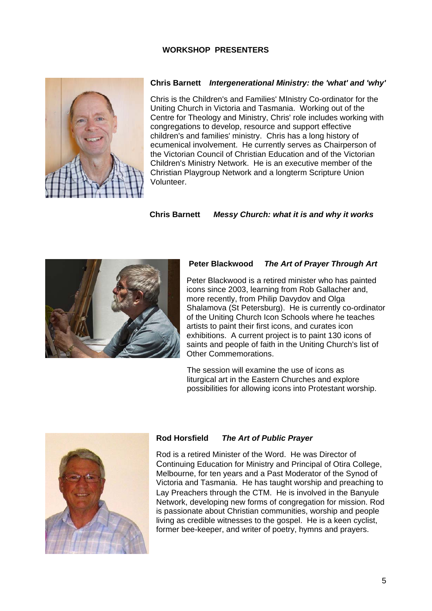## **WORKSHOP PRESENTERS**



#### **Chris Barnett** *Intergenerational Ministry: the 'what' and 'why'*

Chris is the Children's and Families' MInistry Co-ordinator for the Uniting Church in Victoria and Tasmania. Working out of the Centre for Theology and Ministry, Chris' role includes working with congregations to develop, resource and support effective children's and families' ministry. Chris has a long history of ecumenical involvement. He currently serves as Chairperson of the Victorian Council of Christian Education and of the Victorian Children's Ministry Network. He is an executive member of the Christian Playgroup Network and a longterm Scripture Union Volunteer.

## **Chris Barnett** *Messy Church: what it is and why it works*



#### **Peter Blackwood** *The Art of Prayer Through Art*

Peter Blackwood is a retired minister who has painted icons since 2003, learning from Rob Gallacher and, more recently, from Philip Davydov and Olga Shalamova (St Petersburg). He is currently co-ordinator of the Uniting Church Icon Schools where he teaches artists to paint their first icons, and curates icon exhibitions. A current project is to paint 130 icons of saints and people of faith in the Uniting Church's list of Other Commemorations.

 The session will examine the use of icons as liturgical art in the Eastern Churches and explore possibilities for allowing icons into Protestant worship.



# **Rod Horsfield** *The Art of Public Prayer*

Rod is a retired Minister of the Word. He was Director of Continuing Education for Ministry and Principal of Otira College, Melbourne, for ten years and a Past Moderator of the Synod of Victoria and Tasmania. He has taught worship and preaching to Lay Preachers through the CTM. He is involved in the Banyule Network, developing new forms of congregation for mission. Rod is passionate about Christian communities, worship and people living as credible witnesses to the gospel. He is a keen cyclist, former bee-keeper, and writer of poetry, hymns and prayers.